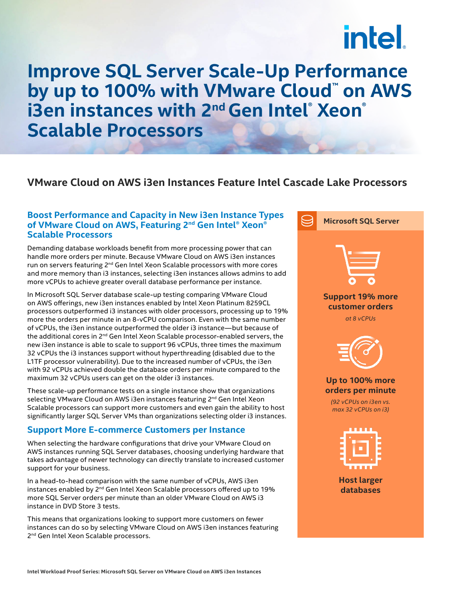# intel.

### **Improve SQL Server Scale-Up Performance**  by up to 100% with VMware Cloud<sup>™</sup> on AWS **i3en instances with 2nd Gen Intel® Xeon® Scalable Processors**

#### **VMware Cloud on AWS i3en Instances Feature Intel Cascade Lake Processors**

#### **Boost Performance and Capacity in New i3en Instance Types of VMware Cloud on AWS, Featuring 2nd Gen Intel® Xeon® Scalable Processors**

Demanding database workloads benefit from more processing power that can handle more orders per minute. Because VMware Cloud on AWS i3en instances run on servers featuring 2<sup>nd</sup> Gen Intel Xeon Scalable processors with more cores and more memory than i3 instances, selecting i3en instances allows admins to add more vCPUs to achieve greater overall database performance per instance.

In Microsoft SQL Server database scale-up testing comparing VMware Cloud on AWS offerings, new i3en instances enabled by Intel Xeon Platinum 8259CL processors outperformed i3 instances with older processors, processing up to 19% more the orders per minute in an 8-vCPU comparison. Even with the same number of vCPUs, the i3en instance outperformed the older i3 instance—but because of the additional cores in 2nd Gen Intel Xeon Scalable processor-enabled servers, the new i3en instance is able to scale to support 96 vCPUs, three times the maximum 32 vCPUs the i3 instances support without hyperthreading (disabled due to the L1TF processor vulnerability). Due to the increased number of vCPUs, the i3en with 92 vCPUs achieved double the database orders per minute compared to the maximum 32 vCPUs users can get on the older i3 instances.

These scale-up performance tests on a single instance show that organizations selecting VMware Cloud on AWS i3en instances featuring 2<sup>nd</sup> Gen Intel Xeon Scalable processors can support more customers and even gain the ability to host significantly larger SQL Server VMs than organizations selecting older i3 instances.

#### **Support More E-commerce Customers per Instance**

When selecting the hardware configurations that drive your VMware Cloud on AWS instances running SQL Server databases, choosing underlying hardware that takes advantage of newer technology can directly translate to increased customer support for your business.

In a head-to-head comparison with the same number of vCPUs, AWS i3en instances enabled by  $2^{nd}$  Gen Intel Xeon Scalable processors offered up to 19% more SQL Server orders per minute than an older VMware Cloud on AWS i3 instance in DVD Store 3 tests.

This means that organizations looking to support more customers on fewer instances can do so by selecting VMware Cloud on AWS i3en instances featuring 2<sup>nd</sup> Gen Intel Xeon Scalable processors.